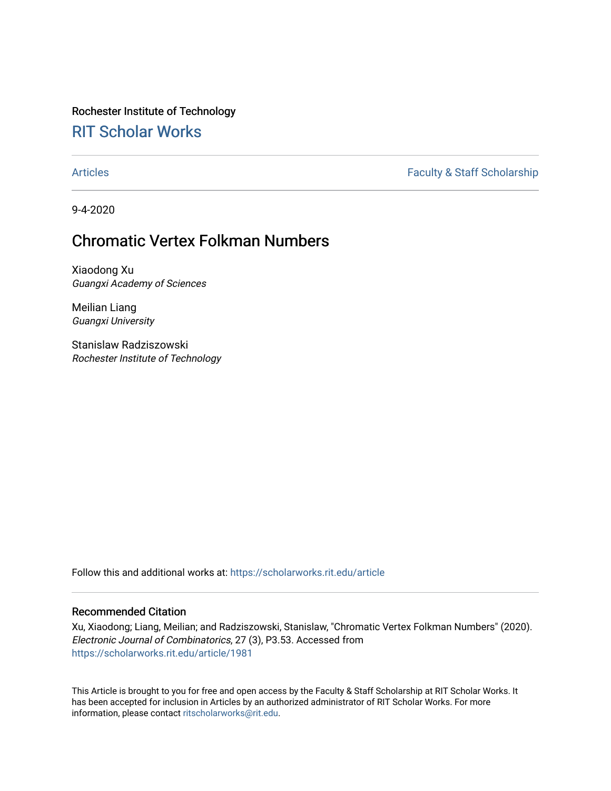# Rochester Institute of Technology

## [RIT Scholar Works](https://scholarworks.rit.edu/)

[Articles](https://scholarworks.rit.edu/article) **Faculty & Staff Scholarship** 

9-4-2020

### Chromatic Vertex Folkman Numbers

Xiaodong Xu Guangxi Academy of Sciences

Meilian Liang Guangxi University

Stanislaw Radziszowski Rochester Institute of Technology

Follow this and additional works at: [https://scholarworks.rit.edu/article](https://scholarworks.rit.edu/article?utm_source=scholarworks.rit.edu%2Farticle%2F1981&utm_medium=PDF&utm_campaign=PDFCoverPages) 

#### Recommended Citation

Xu, Xiaodong; Liang, Meilian; and Radziszowski, Stanislaw, "Chromatic Vertex Folkman Numbers" (2020). Electronic Journal of Combinatorics, 27 (3), P3.53. Accessed from [https://scholarworks.rit.edu/article/1981](https://scholarworks.rit.edu/article/1981?utm_source=scholarworks.rit.edu%2Farticle%2F1981&utm_medium=PDF&utm_campaign=PDFCoverPages)

This Article is brought to you for free and open access by the Faculty & Staff Scholarship at RIT Scholar Works. It has been accepted for inclusion in Articles by an authorized administrator of RIT Scholar Works. For more information, please contact [ritscholarworks@rit.edu.](mailto:ritscholarworks@rit.edu)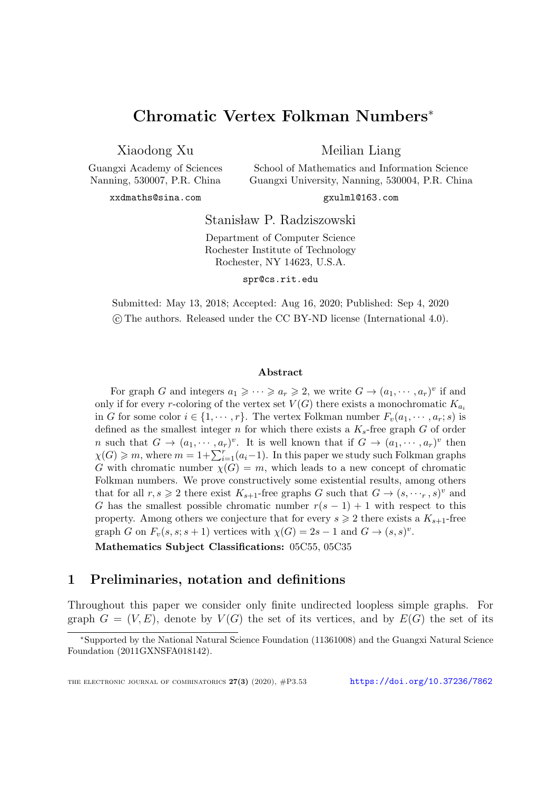### Chromatic Vertex Folkman Numbers<sup>∗</sup>

Xiaodong Xu

Meilian Liang School of Mathematics and Information Science

Guangxi Academy of Sciences Nanning, 530007, P.R. China

xxdmaths@sina.com

Guangxi University, Nanning, 530004, P.R. China gxulml@163.com

Stanisław P. Radziszowski

Department of Computer Science Rochester Institute of Technology Rochester, NY 14623, U.S.A.

spr@cs.rit.edu

Submitted: May 13, 2018; Accepted: Aug 16, 2020; Published: Sep 4, 2020 c The authors. Released under the CC BY-ND license (International 4.0).

#### Abstract

For graph G and integers  $a_1 \geqslant \cdots \geqslant a_r \geqslant 2$ , we write  $G \to (a_1, \cdots, a_r)^v$  if and only if for every r-coloring of the vertex set  $V(G)$  there exists a monochromatic  $K_{a_i}$ in G for some color  $i \in \{1, \dots, r\}$ . The vertex Folkman number  $F_v(a_1, \dots, a_r; s)$  is defined as the smallest integer n for which there exists a  $K_s$ -free graph G of order *n* such that  $G \to (a_1, \dots, a_r)^v$ . It is well known that if  $G \to (a_1, \dots, a_r)^v$  then  $\chi(G) \geqslant m$ , where  $m = 1 + \sum_{i=1}^{r} (a_i - 1)$ . In this paper we study such Folkman graphs G with chromatic number  $\chi(G) = m$ , which leads to a new concept of chromatic Folkman numbers. We prove constructively some existential results, among others that for all  $r, s \geq 2$  there exist  $K_{s+1}$ -free graphs G such that  $G \to (s, \dots, s)^v$  and G has the smallest possible chromatic number  $r(s-1) + 1$  with respect to this property. Among others we conjecture that for every  $s \geq 2$  there exists a  $K_{s+1}$ -free graph G on  $F_v(s, s; s + 1)$  vertices with  $\chi(G) = 2s - 1$  and  $G \to (s, s)^v$ .

Mathematics Subject Classifications: 05C55, 05C35

### 1 Preliminaries, notation and definitions

Throughout this paper we consider only finite undirected loopless simple graphs. For graph  $G = (V, E)$ , denote by  $V(G)$  the set of its vertices, and by  $E(G)$  the set of its

<sup>∗</sup>Supported by the National Natural Science Foundation (11361008) and the Guangxi Natural Science Foundation (2011GXNSFA018142).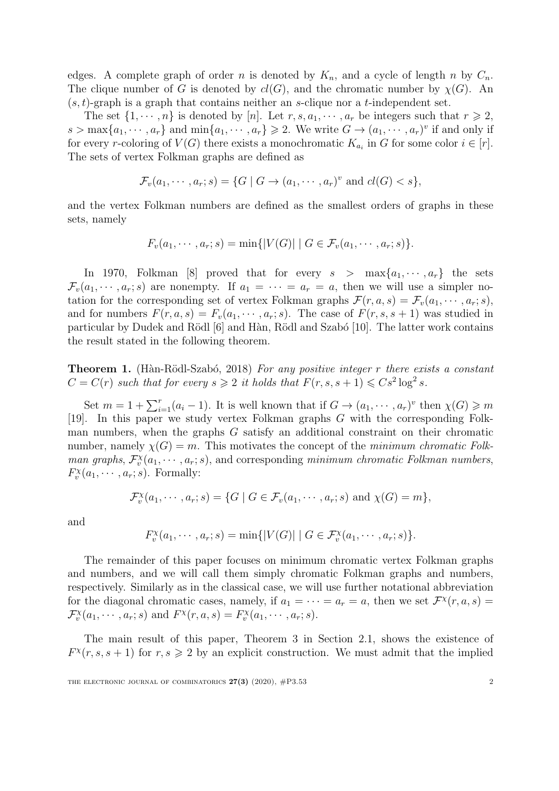edges. A complete graph of order n is denoted by  $K_n$ , and a cycle of length n by  $C_n$ . The clique number of G is denoted by  $cl(G)$ , and the chromatic number by  $\chi(G)$ . An  $(s, t)$ -graph is a graph that contains neither an s-clique nor a t-independent set.

The set  $\{1, \dots, n\}$  is denoted by [n]. Let  $r, s, a_1, \dots, a_r$  be integers such that  $r \geq 2$ ,  $s > \max\{a_1, \dots, a_r\}$  and  $\min\{a_1, \dots, a_r\} \geq 2$ . We write  $G \to (a_1, \dots, a_r)^v$  if and only if for every r-coloring of  $V(G)$  there exists a monochromatic  $K_{a_i}$  in G for some color  $i \in [r]$ . The sets of vertex Folkman graphs are defined as

$$
\mathcal{F}_v(a_1, \cdots, a_r; s) = \{G \mid G \to (a_1, \cdots, a_r)^v \text{ and } cl(G) < s\},
$$

and the vertex Folkman numbers are defined as the smallest orders of graphs in these sets, namely

$$
F_v(a_1, \cdots, a_r; s) = \min\{|V(G)| \mid G \in \mathcal{F}_v(a_1, \cdots, a_r; s)\}.
$$

In 1970, Folkman [\[8\]](#page-11-0) proved that for every  $s > \max\{a_1, \dots, a_r\}$  the sets  $\mathcal{F}_v(a_1, \dots, a_r; s)$  are nonempty. If  $a_1 = \dots = a_r = a$ , then we will use a simpler notation for the corresponding set of vertex Folkman graphs  $\mathcal{F}(r, a, s) = \mathcal{F}_v(a_1, \dots, a_r; s)$ , and for numbers  $F(r, a, s) = F_v(a_1, \dots, a_r; s)$ . The case of  $F(r, s, s + 1)$  was studied in particular by Dudek and Rödl [\[6\]](#page-11-1) and Hàn, Rödl and Szabó [\[10\]](#page-11-2). The latter work contains the result stated in the following theorem.

**Theorem 1.** (Hàn-Rödl-Szabó, 2018) For any positive integer r there exists a constant  $C = C(r)$  such that for every  $s \geqslant 2$  it holds that  $F(r, s, s + 1) \leqslant Cs^2 \log^2 s$ .

Set  $m = 1 + \sum_{i=1}^r (a_i - 1)$ . It is well known that if  $G \to (a_1, \dots, a_r)^v$  then  $\chi(G) \geq m$ [\[19\]](#page-12-0). In this paper we study vertex Folkman graphs G with the corresponding Folkman numbers, when the graphs G satisfy an additional constraint on their chromatic number, namely  $\chi(G) = m$ . This motivates the concept of the *minimum chromatic Folk*man graphs,  $\mathcal{F}_v^{\chi}(a_1, \dots, a_r; s)$ , and corresponding minimum chromatic Folkman numbers,  $F_v^{\chi}(a_1,\dots,a_r;s)$ . Formally:

$$
\mathcal{F}_v^{\chi}(a_1, \cdots, a_r; s) = \{G \mid G \in \mathcal{F}_v(a_1, \cdots, a_r; s) \text{ and } \chi(G) = m\},\
$$

and

$$
F_v^{\chi}(a_1,\dots,a_r;s) = \min\{|V(G)| \mid G \in \mathcal{F}_v^{\chi}(a_1,\dots,a_r;s)\}.
$$

The remainder of this paper focuses on minimum chromatic vertex Folkman graphs and numbers, and we will call them simply chromatic Folkman graphs and numbers, respectively. Similarly as in the classical case, we will use further notational abbreviation for the diagonal chromatic cases, namely, if  $a_1 = \cdots = a_r = a$ , then we set  $\mathcal{F}^{\chi}(r, a, s) =$  $\mathcal{F}_{v}^{\chi}(a_1, \cdots, a_r; s)$  and  $F^{\chi}(r, a, s) = F_{v}^{\chi}(a_1, \cdots, a_r; s)$ .

The main result of this paper, Theorem 3 in Section 2.1, shows the existence of  $F^{\chi}(r,s,s+1)$  for  $r,s \geq 2$  by an explicit construction. We must admit that the implied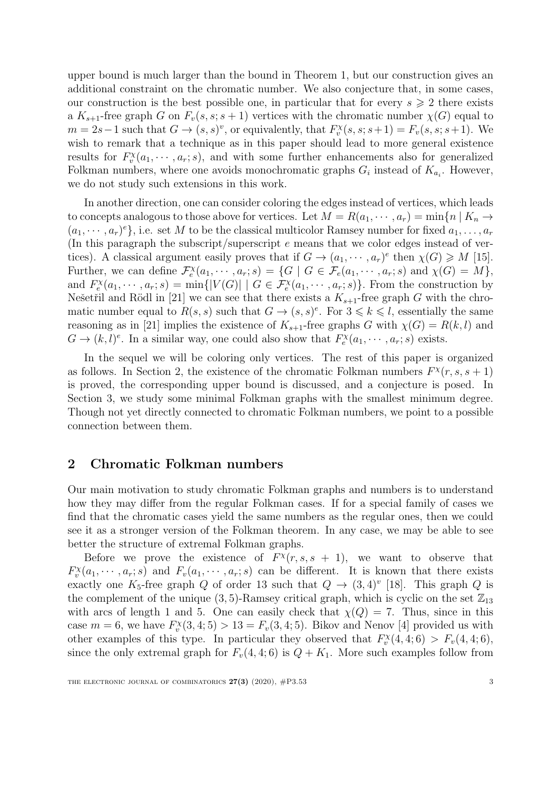upper bound is much larger than the bound in Theorem 1, but our construction gives an additional constraint on the chromatic number. We also conjecture that, in some cases, our construction is the best possible one, in particular that for every  $s \geqslant 2$  there exists a  $K_{s+1}$ -free graph G on  $F_v(s, s; s+1)$  vertices with the chromatic number  $\chi(G)$  equal to  $m = 2s - 1$  such that  $G \to (s, s)^v$ , or equivalently, that  $F_v^{\chi}(s, s; s+1) = F_v(s, s; s+1)$ . We wish to remark that a technique as in this paper should lead to more general existence results for  $F_v^{\chi}(a_1, \dots, a_r; s)$ , and with some further enhancements also for generalized Folkman numbers, where one avoids monochromatic graphs  $G_i$  instead of  $K_{a_i}$ . However, we do not study such extensions in this work.

In another direction, one can consider coloring the edges instead of vertices, which leads to concepts analogous to those above for vertices. Let  $M = R(a_1, \dots, a_r) = \min\{n \mid K_n \to$  $(a_1, \dots, a_r)^e$ , i.e. set M to be the classical multicolor Ramsey number for fixed  $a_1, \dots, a_r$ (In this paragraph the subscript/superscript e means that we color edges instead of vertices). A classical argument easily proves that if  $G \to (a_1, \dots, a_r)^e$  then  $\chi(G) \geq M$  [\[15\]](#page-11-3). Further, we can define  $\mathcal{F}_e^{\chi}(a_1, \dots, a_r; s) = \{G \mid G \in \mathcal{F}_e(a_1, \dots, a_r; s) \text{ and } \chi(G) = M\},\$ and  $F_e^{\chi}(a_1,\dots,a_r;s) = \min\{|V(G)| \mid G \in \mathcal{F}_e^{\chi}(a_1,\dots,a_r;s)\}\.$  From the construction by Nešetřil and Rödl in [\[21\]](#page-12-1) we can see that there exists a  $K_{s+1}$ -free graph G with the chromatic number equal to  $R(s, s)$  such that  $G \to (s, s)^e$ . For  $3 \leq k \leq l$ , essentially the same reasoning as in [\[21\]](#page-12-1) implies the existence of  $K_{s+1}$ -free graphs G with  $\chi(G) = R(k, l)$  and  $G \to (k, l)^e$ . In a similar way, one could also show that  $F_e^{\chi}(a_1, \dots, a_r; s)$  exists.

In the sequel we will be coloring only vertices. The rest of this paper is organized as follows. In Section [2,](#page-3-0) the existence of the chromatic Folkman numbers  $F^{\chi}(r, s, s+1)$ is proved, the corresponding upper bound is discussed, and a conjecture is posed. In Section [3,](#page-9-0) we study some minimal Folkman graphs with the smallest minimum degree. Though not yet directly connected to chromatic Folkman numbers, we point to a possible connection between them.

#### <span id="page-3-0"></span>2 Chromatic Folkman numbers

Our main motivation to study chromatic Folkman graphs and numbers is to understand how they may differ from the regular Folkman cases. If for a special family of cases we find that the chromatic cases yield the same numbers as the regular ones, then we could see it as a stronger version of the Folkman theorem. In any case, we may be able to see better the structure of extremal Folkman graphs.

Before we prove the existence of  $F^{\chi}(r,s,s + 1)$ , we want to observe that  $F_v^{\chi}(a_1,\dots,a_r;s)$  and  $F_v(a_1,\dots,a_r;s)$  can be different. It is known that there exists exactly one K<sub>5</sub>-free graph Q of order 13 such that  $Q \to (3, 4)^{v}$  [\[18\]](#page-12-2). This graph Q is the complement of the unique  $(3, 5)$ -Ramsey critical graph, which is cyclic on the set  $\mathbb{Z}_{13}$ with arcs of length 1 and 5. One can easily check that  $\chi(Q) = 7$ . Thus, since in this case  $m = 6$ , we have  $F_v^{\chi}(3, 4; 5) > 13 = F_v(3, 4; 5)$ . Bikov and Nenov [\[4\]](#page-11-4) provided us with other examples of this type. In particular they observed that  $F_v^{\chi}(4, 4; 6) > F_v(4, 4; 6)$ , since the only extremal graph for  $F_v(4, 4; 6)$  is  $Q + K_1$ . More such examples follow from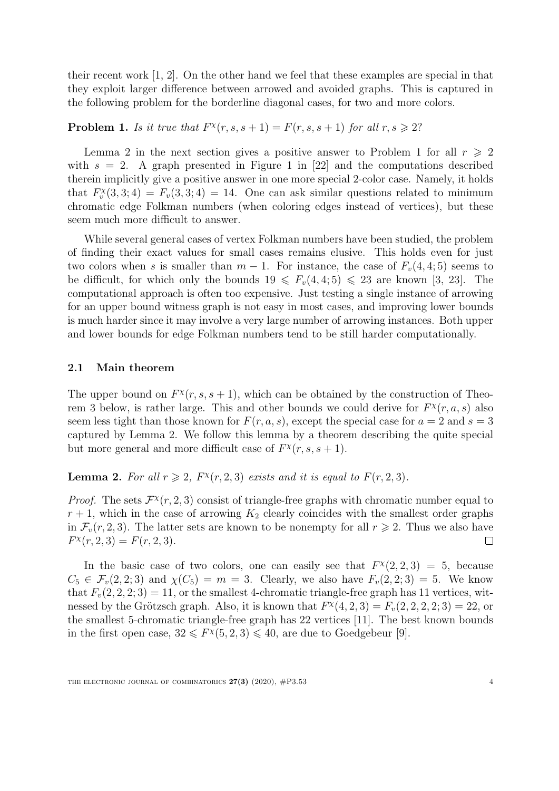their recent work [\[1,](#page-11-5) [2\]](#page-11-6). On the other hand we feel that these examples are special in that they exploit larger difference between arrowed and avoided graphs. This is captured in the following problem for the borderline diagonal cases, for two and more colors.

### **Problem 1.** Is it true that  $F^{\chi}(r, s, s + 1) = F(r, s, s + 1)$  for all  $r, s \ge 2$ ?

Lemma 2 in the next section gives a positive answer to Problem 1 for all  $r \geqslant 2$ with  $s = 2$ . A graph presented in Figure 1 in [\[22\]](#page-12-3) and the computations described therein implicitly give a positive answer in one more special 2-color case. Namely, it holds that  $F_v^{\chi}(3,3;4) = F_v(3,3;4) = 14$ . One can ask similar questions related to minimum chromatic edge Folkman numbers (when coloring edges instead of vertices), but these seem much more difficult to answer.

While several general cases of vertex Folkman numbers have been studied, the problem of finding their exact values for small cases remains elusive. This holds even for just two colors when s is smaller than  $m-1$ . For instance, the case of  $F_v(4, 4; 5)$  seems to be difficult, for which only the bounds  $19 \leq F_v(4, 4; 5) \leq 23$  are known [\[3,](#page-11-7) [23\]](#page-12-4). The computational approach is often too expensive. Just testing a single instance of arrowing for an upper bound witness graph is not easy in most cases, and improving lower bounds is much harder since it may involve a very large number of arrowing instances. Both upper and lower bounds for edge Folkman numbers tend to be still harder computationally.

#### 2.1 Main theorem

The upper bound on  $F^{\chi}(r,s,s+1)$ , which can be obtained by the construction of Theo-rem [3](#page-5-0) below, is rather large. This and other bounds we could derive for  $F^{\chi}(r, a, s)$  also seem less tight than those known for  $F(r, a, s)$ , except the special case for  $a = 2$  and  $s = 3$ captured by Lemma [2.](#page-4-0) We follow this lemma by a theorem describing the quite special but more general and more difficult case of  $F^{\chi}(r, s, s + 1)$ .

<span id="page-4-0"></span>**Lemma 2.** For all  $r \ge 2$ ,  $F^{\chi}(r, 2, 3)$  exists and it is equal to  $F(r, 2, 3)$ .

*Proof.* The sets  $\mathcal{F}^{\chi}(r,2,3)$  consist of triangle-free graphs with chromatic number equal to  $r + 1$ , which in the case of arrowing  $K_2$  clearly coincides with the smallest order graphs in  $\mathcal{F}_v(r, 2, 3)$ . The latter sets are known to be nonempty for all  $r \geq 2$ . Thus we also have  $F^{\chi}(r, 2, 3) = F(r, 2, 3).$  $\Box$ 

In the basic case of two colors, one can easily see that  $F^{\chi}(2,2,3) = 5$ , because  $C_5 \in \mathcal{F}_v(2, 2; 3)$  and  $\chi(C_5) = m = 3$ . Clearly, we also have  $F_v(2, 2; 3) = 5$ . We know that  $F_v(2, 2, 2; 3) = 11$ , or the smallest 4-chromatic triangle-free graph has 11 vertices, witnessed by the Grötzsch graph. Also, it is known that  $F^{\chi}(4, 2, 3) = F_v(2, 2, 2, 2, 3) = 22$ , or the smallest 5-chromatic triangle-free graph has 22 vertices [\[11\]](#page-11-8). The best known bounds in the first open case,  $32 \leq F^{\chi}(5, 2, 3) \leq 40$ , are due to Goedgebeur [\[9\]](#page-11-9).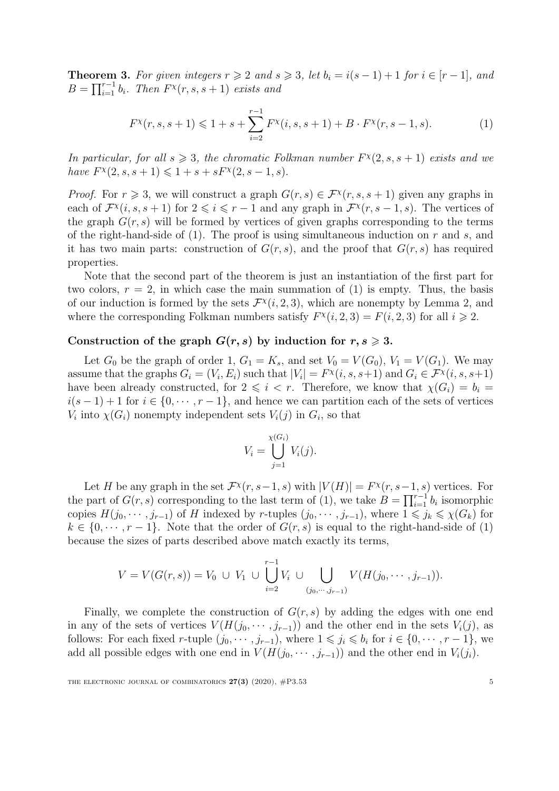<span id="page-5-0"></span>**Theorem 3.** For given integers  $r \geq 2$  and  $s \geq 3$ , let  $b_i = i(s-1) + 1$  for  $i \in [r-1]$ , and  $B = \prod_{i=1}^{r-1} b_i$ . Then  $F^{\chi}(r, s, s+1)$  exists and

$$
F^{\chi}(r,s,s+1) \leq 1+s+\sum_{i=2}^{r-1} F^{\chi}(i,s,s+1)+B\cdot F^{\chi}(r,s-1,s). \tag{1}
$$

In particular, for all  $s \geq 3$ , the chromatic Folkman number  $F^{\chi}(2, s, s + 1)$  exists and we have  $F^{\chi}(2, s, s + 1) \leq 1 + s + sF^{\chi}(2, s - 1, s).$ 

*Proof.* For  $r \geq 3$ , we will construct a graph  $G(r, s) \in \mathcal{F}^{\chi}(r, s, s + 1)$  given any graphs in each of  $\mathcal{F}^{\chi}(i,s,s+1)$  for  $2 \leqslant i \leqslant r-1$  and any graph in  $\mathcal{F}^{\chi}(r,s-1,s)$ . The vertices of the graph  $G(r, s)$  will be formed by vertices of given graphs corresponding to the terms of the right-hand-side of  $(1)$ . The proof is using simultaneous induction on r and s, and it has two main parts: construction of  $G(r, s)$ , and the proof that  $G(r, s)$  has required properties.

Note that the second part of the theorem is just an instantiation of the first part for two colors,  $r = 2$ , in which case the main summation of (1) is empty. Thus, the basis of our induction is formed by the sets  $\mathcal{F}^{\chi}(i,2,3)$  $\mathcal{F}^{\chi}(i,2,3)$  $\mathcal{F}^{\chi}(i,2,3)$ , which are nonempty by Lemma 2, and where the corresponding Folkman numbers satisfy  $F^{\chi}(i, 2, 3) = F(i, 2, 3)$  for all  $i \geq 2$ .

#### Construction of the graph  $G(r, s)$  by induction for  $r, s \geq 3$ .

Let  $G_0$  be the graph of order 1,  $G_1 = K_s$ , and set  $V_0 = V(G_0)$ ,  $V_1 = V(G_1)$ . We may assume that the graphs  $G_i = (V_i, E_i)$  such that  $|V_i| = F^{\chi}(i, s, s+1)$  and  $G_i \in \mathcal{F}^{\chi}(i, s, s+1)$ have been already constructed, for  $2 \leq i \leq r$ . Therefore, we know that  $\chi(G_i) = b_i =$  $i(s-1)+1$  for  $i \in \{0, \dots, r-1\}$ , and hence we can partition each of the sets of vertices  $V_i$  into  $\chi(G_i)$  nonempty independent sets  $V_i(j)$  in  $G_i$ , so that

$$
V_i = \bigcup_{j=1}^{\chi(G_i)} V_i(j).
$$

Let H be any graph in the set  $\mathcal{F}^{\chi}(r,s-1,s)$  with  $|V(H)| = F^{\chi}(r,s-1,s)$  vertices. For the part of  $G(r, s)$  corresponding to the last term of (1), we take  $B = \prod_{i=1}^{r-1} b_i$  isomorphic copies  $H(j_0, \dots, j_{r-1})$  of H indexed by r-tuples  $(j_0, \dots, j_{r-1})$ , where  $1 \leq j_k \leq \chi(G_k)$  for  $k \in \{0, \dots, r-1\}$ . Note that the order of  $G(r, s)$  is equal to the right-hand-side of (1) because the sizes of parts described above match exactly its terms,

$$
V = V(G(r, s)) = V_0 \cup V_1 \cup \bigcup_{i=2}^{r-1} V_i \cup \bigcup_{(j_0, \cdots, j_{r-1})} V(H(j_0, \cdots, j_{r-1})).
$$

Finally, we complete the construction of  $G(r, s)$  by adding the edges with one end in any of the sets of vertices  $V(H(j_0, \dots, j_{r-1}))$  and the other end in the sets  $V_i(j)$ , as follows: For each fixed r-tuple  $(j_0, \dots, j_{r-1})$ , where  $1 \leq j_i \leq b_i$  for  $i \in \{0, \dots, r-1\}$ , we add all possible edges with one end in  $V(H(j_0, \dots, j_{r-1}))$  and the other end in  $V_i(j_i)$ .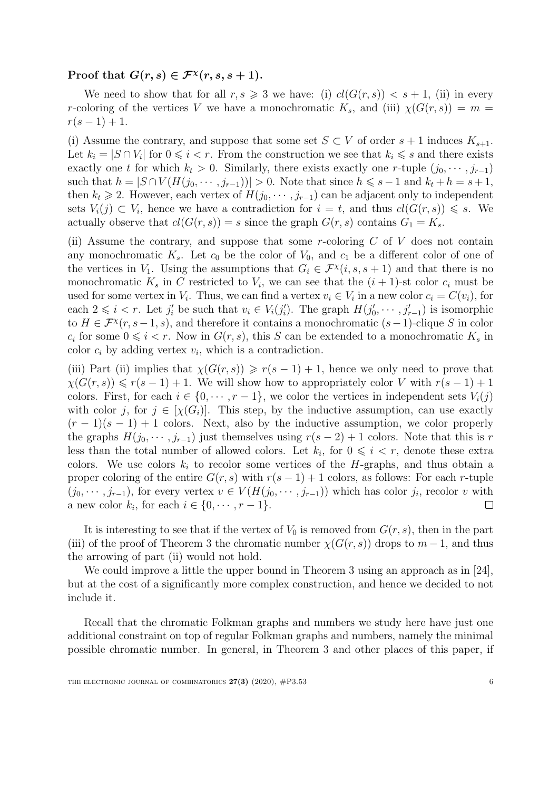#### Proof that  $G(r, s) \in \mathcal{F}^{\chi}(r, s, s+1)$ .

We need to show that for all  $r, s \geq 3$  we have: (i)  $cl(G(r, s)) < s + 1$ , (ii) in every r-coloring of the vertices V we have a monochromatic  $K_s$ , and (iii)  $\chi(G(r, s)) = m$  $r(s-1) + 1.$ 

(i) Assume the contrary, and suppose that some set  $S \subset V$  of order  $s + 1$  induces  $K_{s+1}$ . Let  $k_i = |S \cap V_i|$  for  $0 \leq i < r$ . From the construction we see that  $k_i \leq s$  and there exists exactly one t for which  $k_t > 0$ . Similarly, there exists exactly one r-tuple  $(j_0, \dots, j_{r-1})$ such that  $h = |S \cap V(H(j_0, \dots, j_{r-1}))| > 0$ . Note that since  $h \leq s-1$  and  $k_t + h = s+1$ , then  $k_t \geq 2$ . However, each vertex of  $H(j_0, \dots, j_{r-1})$  can be adjacent only to independent sets  $V_i(j) \subset V_i$ , hence we have a contradiction for  $i = t$ , and thus  $cl(G(r, s)) \leq s$ . We actually observe that  $cl(G(r, s)) = s$  since the graph  $G(r, s)$  contains  $G_1 = K_s$ .

(ii) Assume the contrary, and suppose that some r-coloring  $C$  of  $V$  does not contain any monochromatic  $K_s$ . Let  $c_0$  be the color of  $V_0$ , and  $c_1$  be a different color of one of the vertices in  $V_1$ . Using the assumptions that  $G_i \in \mathcal{F}^{\chi}(i, s, s + 1)$  and that there is no monochromatic  $K_s$  in C restricted to  $V_i$ , we can see that the  $(i + 1)$ -st color  $c_i$  must be used for some vertex in  $V_i$ . Thus, we can find a vertex  $v_i \in V_i$  in a new color  $c_i = C(v_i)$ , for each  $2 \leq i < r$ . Let  $j'_i$  be such that  $v_i \in V_i(j'_i)$ . The graph  $H(j'_0, \dots, j'_{r-1})$  is isomorphic to  $H \in \mathcal{F}^{\chi}(r, s-1, s)$ , and therefore it contains a monochromatic  $(s-1)$ -clique S in color  $c_i$  for some  $0 \leq i < r$ . Now in  $G(r, s)$ , this S can be extended to a monochromatic  $K_s$  in color  $c_i$  by adding vertex  $v_i$ , which is a contradiction.

(iii) Part (ii) implies that  $\chi(G(r, s)) \geq r(s - 1) + 1$ , hence we only need to prove that  $\chi(G(r, s)) \leq r(s - 1) + 1$ . We will show how to appropriately color V with  $r(s - 1) + 1$ colors. First, for each  $i \in \{0, \dots, r-1\}$ , we color the vertices in independent sets  $V_i(j)$ with color j, for  $j \in [\chi(G_i)]$ . This step, by the inductive assumption, can use exactly  $(r-1)(s-1) + 1$  colors. Next, also by the inductive assumption, we color properly the graphs  $H(j_0, \dots, j_{r-1})$  just themselves using  $r(s-2)+1$  colors. Note that this is r less than the total number of allowed colors. Let  $k_i$ , for  $0 \leq i \leq r$ , denote these extra colors. We use colors  $k_i$  to recolor some vertices of the H-graphs, and thus obtain a proper coloring of the entire  $G(r, s)$  with  $r(s - 1) + 1$  colors, as follows: For each r-tuple  $(j_0, \dots, j_{r-1})$ , for every vertex  $v \in V(H(j_0, \dots, j_{r-1}))$  which has color  $j_i$ , recolor v with a new color  $k_i$ , for each  $i \in \{0, \dots, r-1\}.$  $\Box$ 

It is interesting to see that if the vertex of  $V_0$  is removed from  $G(r, s)$ , then in the part (iii) of the proof of Theorem 3 the chromatic number  $\chi(G(r, s))$  drops to  $m - 1$ , and thus the arrowing of part (ii) would not hold.

We could improve a little the upper bound in Theorem 3 using an approach as in [\[24\]](#page-12-5), but at the cost of a significantly more complex construction, and hence we decided to not include it.

Recall that the chromatic Folkman graphs and numbers we study here have just one additional constraint on top of regular Folkman graphs and numbers, namely the minimal possible chromatic number. In general, in Theorem 3 and other places of this paper, if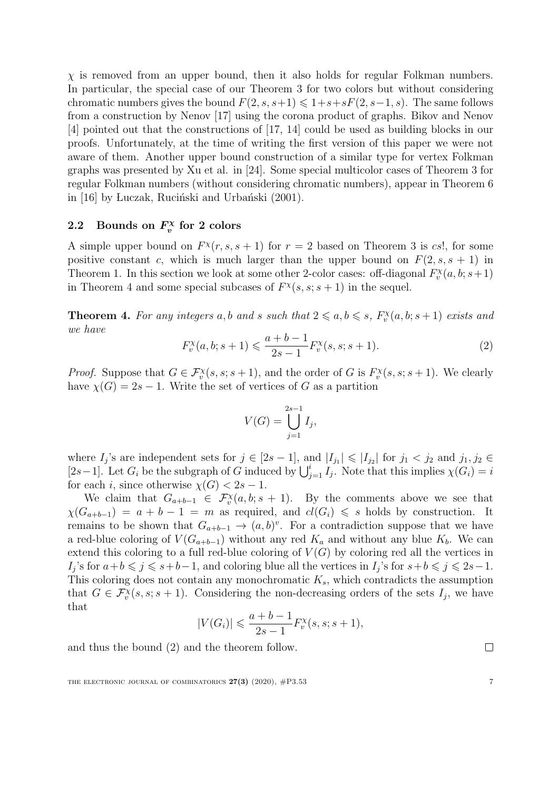$\chi$  is removed from an upper bound, then it also holds for regular Folkman numbers. In particular, the special case of our Theorem 3 for two colors but without considering chromatic numbers gives the bound  $F(2, s, s+1) \leq 1+s+sF(2, s-1, s)$ . The same follows from a construction by Nenov [\[17\]](#page-11-10) using the corona product of graphs. Bikov and Nenov [\[4\]](#page-11-4) pointed out that the constructions of [\[17,](#page-11-10) [14\]](#page-11-11) could be used as building blocks in our proofs. Unfortunately, at the time of writing the first version of this paper we were not aware of them. Another upper bound construction of a similar type for vertex Folkman graphs was presented by Xu et al. in [\[24\]](#page-12-5). Some special multicolor cases of Theorem 3 for regular Folkman numbers (without considering chromatic numbers), appear in Theorem 6 in [\[16\]](#page-11-12) by Luczak, Ruciński and Urbański (2001).

#### 2.2 Bounds on  $F_x^{\chi}$ <sup>'</sup>x' for 2 colors

A simple upper bound on  $F^{\chi}(r, s, s + 1)$  for  $r = 2$  based on Theorem 3 is cs!, for some positive constant c, which is much larger than the upper bound on  $F(2, s, s + 1)$  in Theorem 1. In this section we look at some other 2-color cases: off-diagonal  $F_v^{\chi}(a, b; s+1)$ in Theorem 4 and some special subcases of  $F^{\chi}(s, s; s+1)$  in the sequel.

**Theorem 4.** For any integers a, b and s such that  $2 \le a, b \le s$ ,  $F_v^{\chi}(a, b; s + 1)$  exists and we have

$$
F_v^{\chi}(a, b; s+1) \leqslant \frac{a+b-1}{2s-1} F_v^{\chi}(s, s; s+1). \tag{2}
$$

*Proof.* Suppose that  $G \in \mathcal{F}_v^{\chi}(s, s; s+1)$ , and the order of G is  $F_v^{\chi}(s, s; s+1)$ . We clearly have  $\chi(G) = 2s - 1$ . Write the set of vertices of G as a partition

$$
V(G) = \bigcup_{j=1}^{2s-1} I_j,
$$

where  $I_j$ 's are independent sets for  $j \in [2s-1]$ , and  $|I_{j_1}| \leq |I_{j_2}|$  for  $j_1 < j_2$  and  $j_1, j_2 \in$ [2s-1]. Let  $G_i$  be the subgraph of G induced by  $\bigcup_{j=1}^i I_j$ . Note that this implies  $\chi(G_i) = i$ for each i, since otherwise  $\chi(G) < 2s - 1$ .

We claim that  $G_{a+b-1} \in \mathcal{F}_v^{\chi}(a,b;s+1)$ . By the comments above we see that  $\chi(G_{a+b-1}) = a + b - 1 = m$  as required, and  $cl(G_i) \leq s$  holds by construction. It remains to be shown that  $G_{a+b-1} \to (a, b)^v$ . For a contradiction suppose that we have a red-blue coloring of  $V(G_{a+b-1})$  without any red  $K_a$  and without any blue  $K_b$ . We can extend this coloring to a full red-blue coloring of  $V(G)$  by coloring red all the vertices in  $I_j$ 's for  $a+b \leq j \leq s+b-1$ , and coloring blue all the vertices in  $I_j$ 's for  $s+b \leq j \leq 2s-1$ . This coloring does not contain any monochromatic  $K_s$ , which contradicts the assumption that  $G \in \mathcal{F}_v^{\chi}(s, s; s+1)$ . Considering the non-decreasing orders of the sets  $I_j$ , we have that

$$
|V(G_i)| \leq \frac{a+b-1}{2s-1} F_v^{\chi}(s, s; s+1),
$$

and thus the bound (2) and the theorem follow.

THE ELECTRONIC JOURNAL OF COMBINATORICS  $27(3)$  (2020),  $\#P3.53$  7

 $\Box$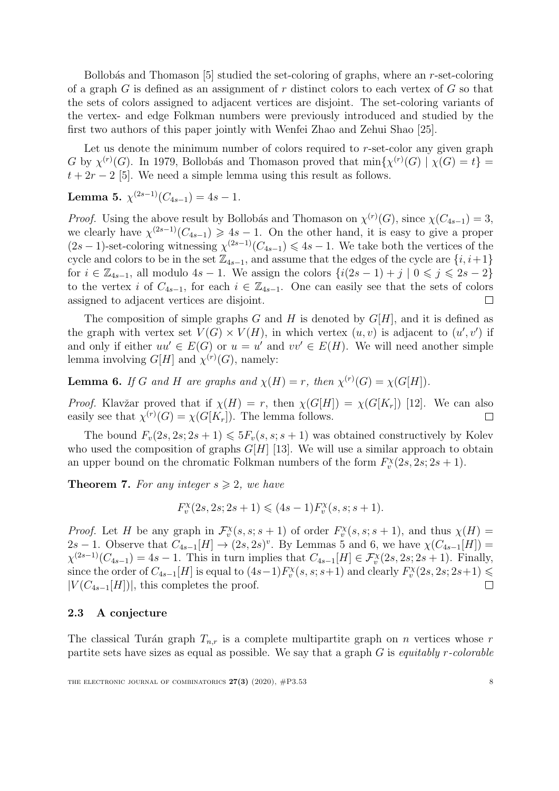Bollobás and Thomason [\[5\]](#page-11-13) studied the set-coloring of graphs, where an  $r$ -set-coloring of a graph  $G$  is defined as an assignment of  $r$  distinct colors to each vertex of  $G$  so that the sets of colors assigned to adjacent vertices are disjoint. The set-coloring variants of the vertex- and edge Folkman numbers were previously introduced and studied by the first two authors of this paper jointly with Wenfei Zhao and Zehui Shao [\[25\]](#page-12-6).

Let us denote the minimum number of colors required to r-set-color any given graph G by  $\chi^{(r)}(G)$ . In 1979, Bollobás and Thomason proved that  $\min{\chi^{(r)}(G) \mid \chi(G) = t}$  $t + 2r - 2$  [\[5\]](#page-11-13). We need a simple lemma using this result as follows.

**Lemma 5.**  $\chi^{(2s-1)}(C_{4s-1}) = 4s - 1$ .

*Proof.* Using the above result by Bollobás and Thomason on  $\chi^{(r)}(G)$ , since  $\chi(C_{4s-1}) = 3$ , we clearly have  $\chi^{(2s-1)}(C_{4s-1}) \geq 4s - 1$ . On the other hand, it is easy to give a proper  $(2s-1)$ -set-coloring witnessing  $\chi^{(2s-1)}(C_{4s-1}) \leq 4s-1$ . We take both the vertices of the cycle and colors to be in the set  $\mathbb{Z}_{4s-1}$ , and assume that the edges of the cycle are  $\{i, i+1\}$ for  $i \in \mathbb{Z}_{4s-1}$ , all modulo  $4s-1$ . We assign the colors  $\{i(2s-1)+j \mid 0 \leq j \leq 2s-2\}$ to the vertex i of  $C_{4s-1}$ , for each  $i \in \mathbb{Z}_{4s-1}$ . One can easily see that the sets of colors assigned to adjacent vertices are disjoint.  $\Box$ 

The composition of simple graphs G and H is denoted by  $G[H]$ , and it is defined as the graph with vertex set  $V(G) \times V(H)$ , in which vertex  $(u, v)$  is adjacent to  $(u', v')$  if and only if either  $uu' \in E(G)$  or  $u = u'$  and  $vv' \in E(H)$ . We will need another simple lemma involving  $G[H]$  and  $\chi^{(r)}(G)$ , namely:

**Lemma 6.** If G and H are graphs and  $\chi(H) = r$ , then  $\chi^{(r)}(G) = \chi(G[H])$ .

*Proof.* Klavžar proved that if  $\chi(H) = r$ , then  $\chi(G[H]) = \chi(G[K_r])$  [\[12\]](#page-11-14). We can also easily see that  $\chi^{(r)}(G) = \chi(G[K_r])$ . The lemma follows.  $\Box$ 

The bound  $F_v(2s, 2s; 2s + 1) \leq 5F_v(s, s; s + 1)$  was obtained constructively by Kolev who used the composition of graphs  $G[H]$  [\[13\]](#page-11-15). We will use a similar approach to obtain an upper bound on the chromatic Folkman numbers of the form  $F_v^{\chi}(2s, 2s; 2s + 1)$ .

**Theorem 7.** For any integer  $s \geq 2$ , we have

$$
F_v^{\chi}(2s, 2s; 2s+1) \leqslant (4s-1)F_v^{\chi}(s, s; s+1).
$$

*Proof.* Let H be any graph in  $\mathcal{F}_v^{\chi}(s, s; s + 1)$  of order  $F_v^{\chi}(s, s; s + 1)$ , and thus  $\chi(H)$  = 2s – 1. Observe that  $C_{4s-1}[H] \rightarrow (2s, 2s)^{v}$ . By Lemmas 5 and 6, we have  $\chi(C_{4s-1}[H])$  =  $\chi^{(2s-1)}(C_{4s-1}) = 4s - 1$ . This in turn implies that  $C_{4s-1}[H] \in \mathcal{F}_{v}^{\chi}(2s, 2s; 2s+1)$ . Finally, since the order of  $C_{4s-1}[H]$  is equal to  $(4s-1)F_v^{\chi}(s,s;s+1)$  and clearly  $F_v^{\chi}(2s,2s;2s+1) \le$  $|V(C_{4s-1}[H])|$ , this completes the proof.  $\Box$ 

#### 2.3 A conjecture

The classical Turán graph  $T_{n,r}$  is a complete multipartite graph on n vertices whose r partite sets have sizes as equal as possible. We say that a graph  $G$  is *equitably r-colorable*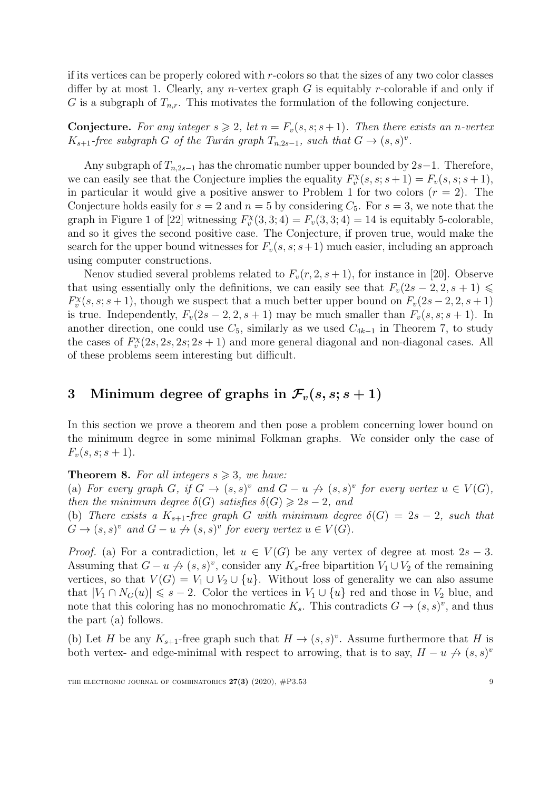if its vertices can be properly colored with r-colors so that the sizes of any two color classes differ by at most 1. Clearly, any *n*-vertex graph  $G$  is equitably *r*-colorable if and only if G is a subgraph of  $T_{n,r}$ . This motivates the formulation of the following conjecture.

**Conjecture.** For any integer  $s \geq 2$ , let  $n = F_v(s, s; s + 1)$ . Then there exists an n-vertex  $K_{s+1}$ -free subgraph G of the Turán graph  $T_{n,2s-1}$ , such that  $G \to (s,s)^v$ .

Any subgraph of  $T_{n,2s-1}$  has the chromatic number upper bounded by 2s−1. Therefore, we can easily see that the Conjecture implies the equality  $F_v^{\chi}(s, s; s+1) = F_v(s, s; s+1),$ in particular it would give a positive answer to Problem 1 for two colors  $(r = 2)$ . The Conjecture holds easily for  $s = 2$  and  $n = 5$  by considering  $C_5$ . For  $s = 3$ , we note that the graph in Figure 1 of [\[22\]](#page-12-3) witnessing  $F_v^{\chi}(3,3;4) = F_v(3,3;4) = 14$  is equitably 5-colorable, and so it gives the second positive case. The Conjecture, if proven true, would make the search for the upper bound witnesses for  $F_v(s, s; s+1)$  much easier, including an approach using computer constructions.

Nenov studied several problems related to  $F_v(r, 2, s+1)$ , for instance in [\[20\]](#page-12-7). Observe that using essentially only the definitions, we can easily see that  $F_v(2s - 2, 2, s + 1) \le$  $F_v^{\chi}(s, s; s+1)$ , though we suspect that a much better upper bound on  $F_v(2s-2, 2, s+1)$ is true. Independently,  $F_v(2s-2, 2, s+1)$  may be much smaller than  $F_v(s, s; s+1)$ . In another direction, one could use  $C_5$ , similarly as we used  $C_{4k-1}$  in Theorem 7, to study the cases of  $F_v^{\chi}(2s, 2s, 2s; 2s + 1)$  and more general diagonal and non-diagonal cases. All of these problems seem interesting but difficult.

### <span id="page-9-0"></span>3 Minimum degree of graphs in  $\mathcal{F}_v(s,s;s+1)$

In this section we prove a theorem and then pose a problem concerning lower bound on the minimum degree in some minimal Folkman graphs. We consider only the case of  $F_v(s, s; s + 1).$ 

#### **Theorem 8.** For all integers  $s \geq 3$ , we have:

(a) For every graph G, if  $G \to (s, s)^v$  and  $G - u \nrightarrow (s, s)^v$  for every vertex  $u \in V(G)$ , then the minimum degree  $\delta(G)$  satisfies  $\delta(G) \geq 2s - 2$ , and

(b) There exists a  $K_{s+1}$ -free graph G with minimum degree  $\delta(G) = 2s - 2$ , such that  $G \to (s, s)^v$  and  $G - u \nrightarrow (s, s)^v$  for every vertex  $u \in V(G)$ .

*Proof.* (a) For a contradiction, let  $u \in V(G)$  be any vertex of degree at most  $2s - 3$ . Assuming that  $G - u \nightharpoonup (s, s)^v$ , consider any  $K_s$ -free bipartition  $V_1 \cup V_2$  of the remaining vertices, so that  $V(G) = V_1 \cup V_2 \cup \{u\}$ . Without loss of generality we can also assume that  $|V_1 \cap N_G(u)| \leq s - 2$ . Color the vertices in  $V_1 \cup \{u\}$  red and those in  $V_2$  blue, and note that this coloring has no monochromatic  $K_s$ . This contradicts  $G \to (s, s)^v$ , and thus the part (a) follows.

(b) Let H be any  $K_{s+1}$ -free graph such that  $H \to (s,s)^v$ . Assume furthermore that H is both vertex- and edge-minimal with respect to arrowing, that is to say,  $H - u \nrightarrow (s, s)^{v}$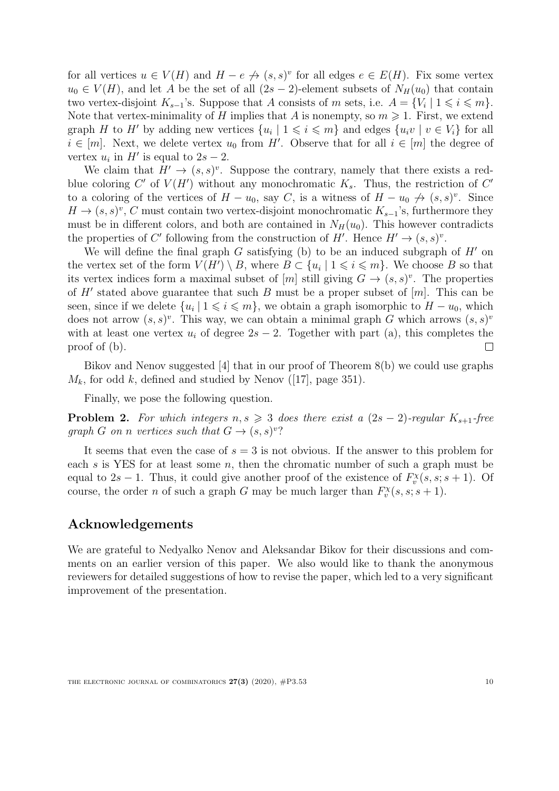for all vertices  $u \in V(H)$  and  $H - e \nightharpoonup (s, s)^v$  for all edges  $e \in E(H)$ . Fix some vertex  $u_0 \in V(H)$ , and let A be the set of all  $(2s-2)$ -element subsets of  $N_H(u_0)$  that contain two vertex-disjoint  $K_{s-1}$ 's. Suppose that A consists of m sets, i.e.  $A = \{V_i \mid 1 \leq i \leq m\}.$ Note that vertex-minimality of H implies that A is nonempty, so  $m \geq 1$ . First, we extend graph H to H' by adding new vertices  $\{u_i \mid 1 \leq i \leq m\}$  and edges  $\{u_i v \mid v \in V_i\}$  for all  $i \in [m]$ . Next, we delete vertex  $u_0$  from H'. Observe that for all  $i \in [m]$  the degree of vertex  $u_i$  in  $H'$  is equal to  $2s - 2$ .

We claim that  $H' \to (s, s)^v$ . Suppose the contrary, namely that there exists a redblue coloring  $C'$  of  $V(H')$  without any monochromatic  $K_s$ . Thus, the restriction of  $C'$ to a coloring of the vertices of  $H - u_0$ , say C, is a witness of  $H - u_0 \nightharpoonup (s, s)^v$ . Since  $H \to (s, s)^v$ , C must contain two vertex-disjoint monochromatic  $K_{s-1}$ 's, furthermore they must be in different colors, and both are contained in  $N_H(u_0)$ . This however contradicts the properties of C' following from the construction of H'. Hence  $H' \to (s, s)^v$ .

We will define the final graph G satisfying (b) to be an induced subgraph of  $H'$  on the vertex set of the form  $V(H') \setminus B$ , where  $B \subset \{u_i \mid 1 \leq i \leq m\}$ . We choose B so that its vertex indices form a maximal subset of [m] still giving  $G \to (s, s)^v$ . The properties of  $H'$  stated above guarantee that such B must be a proper subset of  $[m]$ . This can be seen, since if we delete  $\{u_i \mid 1 \leq i \leq m\}$ , we obtain a graph isomorphic to  $H - u_0$ , which does not arrow  $(s, s)^v$ . This way, we can obtain a minimal graph G which arrows  $(s, s)^v$ with at least one vertex  $u_i$  of degree  $2s - 2$ . Together with part (a), this completes the proof of (b).  $\Box$ 

Bikov and Nenov suggested [\[4\]](#page-11-4) that in our proof of Theorem 8(b) we could use graphs  $M_k$ , for odd k, defined and studied by Nenov ([\[17\]](#page-11-10), page 351).

Finally, we pose the following question.

**Problem 2.** For which integers  $n, s \geq 3$  does there exist a  $(2s - 2)$ -regular  $K_{s+1}$ -free graph G on n vertices such that  $G \to (s, s)^v$ ?

It seems that even the case of  $s = 3$  is not obvious. If the answer to this problem for each s is YES for at least some  $n$ , then the chromatic number of such a graph must be equal to 2s – 1. Thus, it could give another proof of the existence of  $F_v^{\chi}(s, s; s+1)$ . Of course, the order *n* of such a graph G may be much larger than  $F_v^{\chi}(s, s; s + 1)$ .

#### Acknowledgements

We are grateful to Nedyalko Nenov and Aleksandar Bikov for their discussions and comments on an earlier version of this paper. We also would like to thank the anonymous reviewers for detailed suggestions of how to revise the paper, which led to a very significant improvement of the presentation.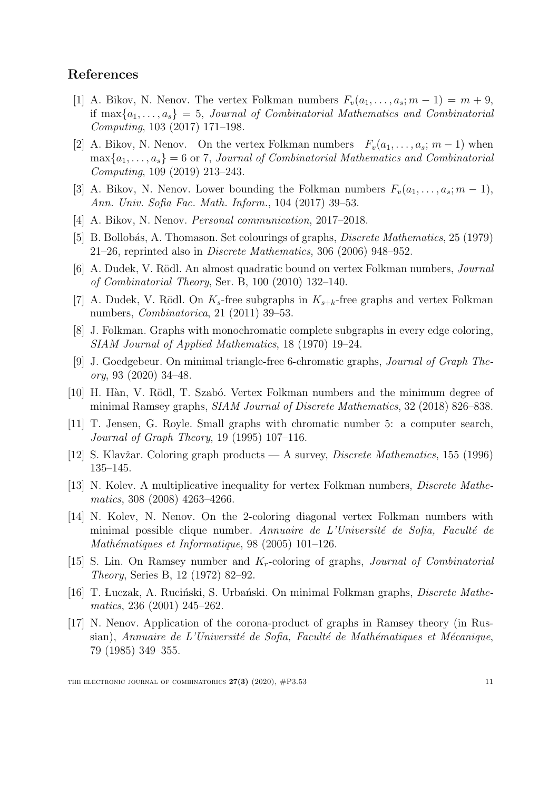#### References

- <span id="page-11-5"></span>[1] A. Bikov, N. Nenov. The vertex Folkman numbers  $F_v(a_1, \ldots, a_s; m-1) = m+9$ , if  $\max\{a_1, \ldots, a_s\} = 5$ , Journal of Combinatorial Mathematics and Combinatorial Computing, 103 (2017) 171–198.
- <span id="page-11-6"></span>[2] A. Bikov, N. Nenov. On the vertex Folkman numbers  $F_v(a_1, \ldots, a_s; m-1)$  when  $\max\{a_1,\ldots,a_s\} = 6$  or 7, Journal of Combinatorial Mathematics and Combinatorial Computing, 109 (2019) 213–243.
- <span id="page-11-7"></span>[3] A. Bikov, N. Nenov. Lower bounding the Folkman numbers  $F_v(a_1, \ldots, a_s; m-1)$ , Ann. Univ. Sofia Fac. Math. Inform., 104 (2017) 39–53.
- <span id="page-11-4"></span>[4] A. Bikov, N. Nenov. *Personal communication*, 2017–2018.
- <span id="page-11-13"></span>[5] B. Bollobás, A. Thomason. Set colourings of graphs, *Discrete Mathematics*, 25 (1979) 21–26, reprinted also in Discrete Mathematics, 306 (2006) 948–952.
- <span id="page-11-1"></span>[6] A. Dudek, V. Rödl. An almost quadratic bound on vertex Folkman numbers, *Journal* of Combinatorial Theory, Ser. B, 100 (2010) 132–140.
- [7] A. Dudek, V. Rödl. On  $K_s$ -free subgraphs in  $K_{s+k}$ -free graphs and vertex Folkman numbers, Combinatorica, 21 (2011) 39–53.
- <span id="page-11-0"></span>[8] J. Folkman. Graphs with monochromatic complete subgraphs in every edge coloring, SIAM Journal of Applied Mathematics, 18 (1970) 19–24.
- <span id="page-11-9"></span>[9] J. Goedgebeur. On minimal triangle-free 6-chromatic graphs, Journal of Graph Theory, 93 (2020) 34–48.
- <span id="page-11-2"></span>[10] H. Hàn, V. Rödl, T. Szabó. Vertex Folkman numbers and the minimum degree of minimal Ramsey graphs, SIAM Journal of Discrete Mathematics, 32 (2018) 826–838.
- <span id="page-11-8"></span>[11] T. Jensen, G. Royle. Small graphs with chromatic number 5: a computer search, Journal of Graph Theory, 19 (1995) 107–116.
- <span id="page-11-14"></span>[12] S. Klavžar. Coloring graph products — A survey, *Discrete Mathematics*, 155 (1996) 135–145.
- <span id="page-11-15"></span>[13] N. Kolev. A multiplicative inequality for vertex Folkman numbers, Discrete Mathematics, 308 (2008) 4263–4266.
- <span id="page-11-11"></span>[14] N. Kolev, N. Nenov. On the 2-coloring diagonal vertex Folkman numbers with minimal possible clique number. Annuaire de L'Université de Sofia, Faculté de Mathématiques et Informatique,  $98$  (2005) 101-126.
- <span id="page-11-3"></span>[15] S. Lin. On Ramsey number and  $K_r$ -coloring of graphs, *Journal of Combinatorial* Theory, Series B, 12 (1972) 82–92.
- <span id="page-11-12"></span>[16] T. Luczak, A. Ruciński, S. Urbański. On minimal Folkman graphs, *Discrete Mathe*matics, 236 (2001) 245–262.
- <span id="page-11-10"></span>[17] N. Nenov. Application of the corona-product of graphs in Ramsey theory (in Russian), Annuaire de L'Université de Sofia, Faculté de Mathématiques et Mécanique, 79 (1985) 349–355.